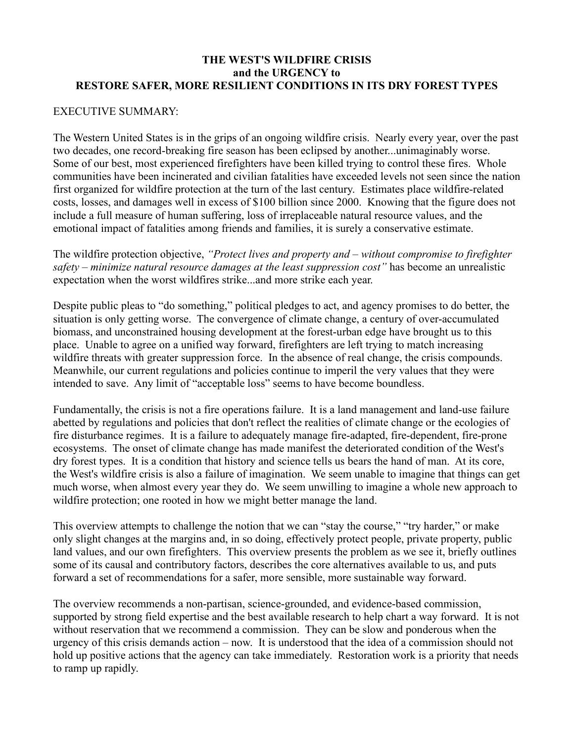## **THE WEST'S WILDFIRE CRISIS and the URGENCY to RESTORE SAFER, MORE RESILIENT CONDITIONS IN ITS DRY FOREST TYPES**

## EXECUTIVE SUMMARY:

The Western United States is in the grips of an ongoing wildfire crisis. Nearly every year, over the past two decades, one record-breaking fire season has been eclipsed by another...unimaginably worse. Some of our best, most experienced firefighters have been killed trying to control these fires. Whole communities have been incinerated and civilian fatalities have exceeded levels not seen since the nation first organized for wildfire protection at the turn of the last century. Estimates place wildfire-related costs, losses, and damages well in excess of \$100 billion since 2000. Knowing that the figure does not include a full measure of human suffering, loss of irreplaceable natural resource values, and the emotional impact of fatalities among friends and families, it is surely a conservative estimate.

The wildfire protection objective, *"Protect lives and property and – without compromise to firefighter safety – minimize natural resource damages at the least suppression cost"* has become an unrealistic expectation when the worst wildfires strike...and more strike each year.

Despite public pleas to "do something," political pledges to act, and agency promises to do better, the situation is only getting worse. The convergence of climate change, a century of over-accumulated biomass, and unconstrained housing development at the forest-urban edge have brought us to this place. Unable to agree on a unified way forward, firefighters are left trying to match increasing wildfire threats with greater suppression force. In the absence of real change, the crisis compounds. Meanwhile, our current regulations and policies continue to imperil the very values that they were intended to save. Any limit of "acceptable loss" seems to have become boundless.

Fundamentally, the crisis is not a fire operations failure. It is a land management and land-use failure abetted by regulations and policies that don't reflect the realities of climate change or the ecologies of fire disturbance regimes. It is a failure to adequately manage fire-adapted, fire-dependent, fire-prone ecosystems. The onset of climate change has made manifest the deteriorated condition of the West's dry forest types. It is a condition that history and science tells us bears the hand of man. At its core, the West's wildfire crisis is also a failure of imagination. We seem unable to imagine that things can get much worse, when almost every year they do. We seem unwilling to imagine a whole new approach to wildfire protection; one rooted in how we might better manage the land.

This overview attempts to challenge the notion that we can "stay the course," "try harder," or make only slight changes at the margins and, in so doing, effectively protect people, private property, public land values, and our own firefighters. This overview presents the problem as we see it, briefly outlines some of its causal and contributory factors, describes the core alternatives available to us, and puts forward a set of recommendations for a safer, more sensible, more sustainable way forward.

The overview recommends a non-partisan, science-grounded, and evidence-based commission, supported by strong field expertise and the best available research to help chart a way forward. It is not without reservation that we recommend a commission. They can be slow and ponderous when the urgency of this crisis demands action – now. It is understood that the idea of a commission should not hold up positive actions that the agency can take immediately. Restoration work is a priority that needs to ramp up rapidly.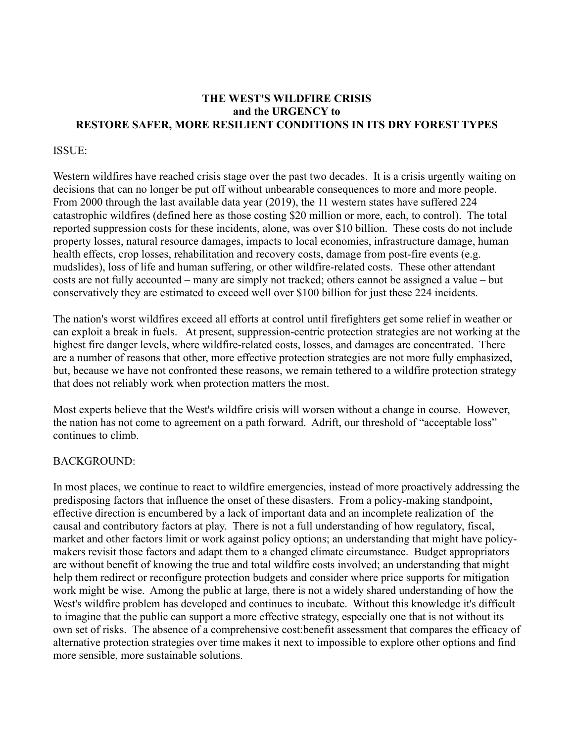## **THE WEST'S WILDFIRE CRISIS and the URGENCY to RESTORE SAFER, MORE RESILIENT CONDITIONS IN ITS DRY FOREST TYPES**

#### ISSUE:

Western wildfires have reached crisis stage over the past two decades. It is a crisis urgently waiting on decisions that can no longer be put off without unbearable consequences to more and more people. From 2000 through the last available data year (2019), the 11 western states have suffered 224 catastrophic wildfires (defined here as those costing \$20 million or more, each, to control). The total reported suppression costs for these incidents, alone, was over \$10 billion. These costs do not include property losses, natural resource damages, impacts to local economies, infrastructure damage, human health effects, crop losses, rehabilitation and recovery costs, damage from post-fire events (e.g. mudslides), loss of life and human suffering, or other wildfire-related costs. These other attendant costs are not fully accounted – many are simply not tracked; others cannot be assigned a value – but conservatively they are estimated to exceed well over \$100 billion for just these 224 incidents.

The nation's worst wildfires exceed all efforts at control until firefighters get some relief in weather or can exploit a break in fuels. At present, suppression-centric protection strategies are not working at the highest fire danger levels, where wildfire-related costs, losses, and damages are concentrated. There are a number of reasons that other, more effective protection strategies are not more fully emphasized, but, because we have not confronted these reasons, we remain tethered to a wildfire protection strategy that does not reliably work when protection matters the most.

Most experts believe that the West's wildfire crisis will worsen without a change in course. However, the nation has not come to agreement on a path forward. Adrift, our threshold of "acceptable loss" continues to climb.

#### BACKGROUND:

In most places, we continue to react to wildfire emergencies, instead of more proactively addressing the predisposing factors that influence the onset of these disasters. From a policy-making standpoint, effective direction is encumbered by a lack of important data and an incomplete realization of the causal and contributory factors at play. There is not a full understanding of how regulatory, fiscal, market and other factors limit or work against policy options; an understanding that might have policymakers revisit those factors and adapt them to a changed climate circumstance. Budget appropriators are without benefit of knowing the true and total wildfire costs involved; an understanding that might help them redirect or reconfigure protection budgets and consider where price supports for mitigation work might be wise. Among the public at large, there is not a widely shared understanding of how the West's wildfire problem has developed and continues to incubate. Without this knowledge it's difficult to imagine that the public can support a more effective strategy, especially one that is not without its own set of risks. The absence of a comprehensive cost:benefit assessment that compares the efficacy of alternative protection strategies over time makes it next to impossible to explore other options and find more sensible, more sustainable solutions.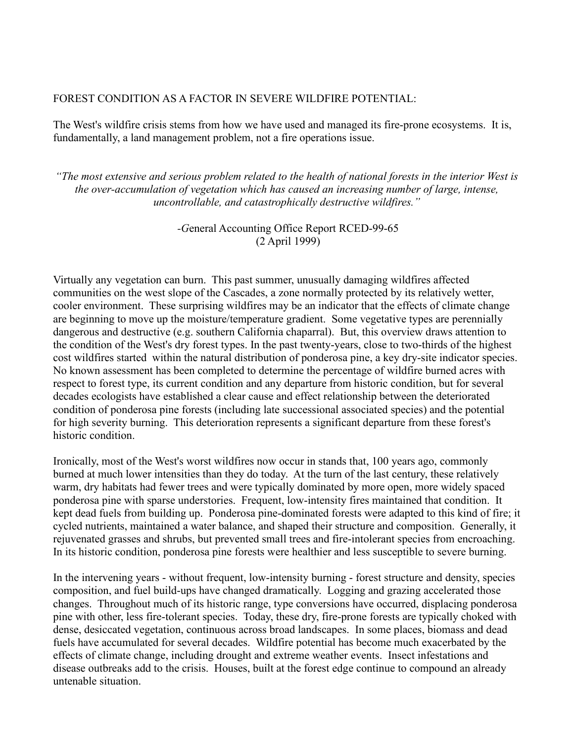## FOREST CONDITION AS A FACTOR IN SEVERE WILDFIRE POTENTIAL:

The West's wildfire crisis stems from how we have used and managed its fire-prone ecosystems. It is, fundamentally, a land management problem, not a fire operations issue.

*"The most extensive and serious problem related to the health of national forests in the interior West is the over-accumulation of vegetation which has caused an increasing number of large, intense, uncontrollable, and catastrophically destructive wildfires."*

## *-G*eneral Accounting Office Report RCED-99-65 (2 April 1999)

Virtually any vegetation can burn. This past summer, unusually damaging wildfires affected communities on the west slope of the Cascades, a zone normally protected by its relatively wetter, cooler environment. These surprising wildfires may be an indicator that the effects of climate change are beginning to move up the moisture/temperature gradient. Some vegetative types are perennially dangerous and destructive (e.g. southern California chaparral). But, this overview draws attention to the condition of the West's dry forest types. In the past twenty-years, close to two-thirds of the highest cost wildfires started within the natural distribution of ponderosa pine, a key dry-site indicator species. No known assessment has been completed to determine the percentage of wildfire burned acres with respect to forest type, its current condition and any departure from historic condition, but for several decades ecologists have established a clear cause and effect relationship between the deteriorated condition of ponderosa pine forests (including late successional associated species) and the potential for high severity burning. This deterioration represents a significant departure from these forest's historic condition.

Ironically, most of the West's worst wildfires now occur in stands that, 100 years ago, commonly burned at much lower intensities than they do today. At the turn of the last century, these relatively warm, dry habitats had fewer trees and were typically dominated by more open, more widely spaced ponderosa pine with sparse understories. Frequent, low-intensity fires maintained that condition. It kept dead fuels from building up. Ponderosa pine-dominated forests were adapted to this kind of fire; it cycled nutrients, maintained a water balance, and shaped their structure and composition. Generally, it rejuvenated grasses and shrubs, but prevented small trees and fire-intolerant species from encroaching. In its historic condition, ponderosa pine forests were healthier and less susceptible to severe burning.

In the intervening years - without frequent, low-intensity burning - forest structure and density, species composition, and fuel build-ups have changed dramatically. Logging and grazing accelerated those changes. Throughout much of its historic range, type conversions have occurred, displacing ponderosa pine with other, less fire-tolerant species. Today, these dry, fire-prone forests are typically choked with dense, desiccated vegetation, continuous across broad landscapes. In some places, biomass and dead fuels have accumulated for several decades. Wildfire potential has become much exacerbated by the effects of climate change, including drought and extreme weather events. Insect infestations and disease outbreaks add to the crisis. Houses, built at the forest edge continue to compound an already untenable situation.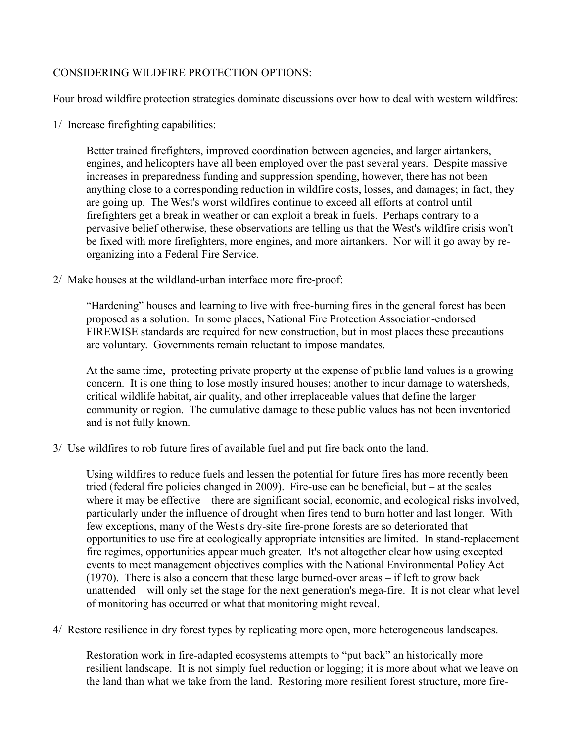## CONSIDERING WILDFIRE PROTECTION OPTIONS:

Four broad wildfire protection strategies dominate discussions over how to deal with western wildfires:

1/ Increase firefighting capabilities:

Better trained firefighters, improved coordination between agencies, and larger airtankers, engines, and helicopters have all been employed over the past several years. Despite massive increases in preparedness funding and suppression spending, however, there has not been anything close to a corresponding reduction in wildfire costs, losses, and damages; in fact, they are going up. The West's worst wildfires continue to exceed all efforts at control until firefighters get a break in weather or can exploit a break in fuels. Perhaps contrary to a pervasive belief otherwise, these observations are telling us that the West's wildfire crisis won't be fixed with more firefighters, more engines, and more airtankers. Nor will it go away by reorganizing into a Federal Fire Service.

2/ Make houses at the wildland-urban interface more fire-proof:

"Hardening" houses and learning to live with free-burning fires in the general forest has been proposed as a solution. In some places, National Fire Protection Association-endorsed FIREWISE standards are required for new construction, but in most places these precautions are voluntary. Governments remain reluctant to impose mandates.

At the same time, protecting private property at the expense of public land values is a growing concern. It is one thing to lose mostly insured houses; another to incur damage to watersheds, critical wildlife habitat, air quality, and other irreplaceable values that define the larger community or region. The cumulative damage to these public values has not been inventoried and is not fully known.

3/ Use wildfires to rob future fires of available fuel and put fire back onto the land.

Using wildfires to reduce fuels and lessen the potential for future fires has more recently been tried (federal fire policies changed in 2009). Fire-use can be beneficial, but – at the scales where it may be effective – there are significant social, economic, and ecological risks involved, particularly under the influence of drought when fires tend to burn hotter and last longer. With few exceptions, many of the West's dry-site fire-prone forests are so deteriorated that opportunities to use fire at ecologically appropriate intensities are limited. In stand-replacement fire regimes, opportunities appear much greater. It's not altogether clear how using excepted events to meet management objectives complies with the National Environmental Policy Act (1970). There is also a concern that these large burned-over areas – if left to grow back unattended – will only set the stage for the next generation's mega-fire. It is not clear what level of monitoring has occurred or what that monitoring might reveal.

4/ Restore resilience in dry forest types by replicating more open, more heterogeneous landscapes.

Restoration work in fire-adapted ecosystems attempts to "put back" an historically more resilient landscape. It is not simply fuel reduction or logging; it is more about what we leave on the land than what we take from the land. Restoring more resilient forest structure, more fire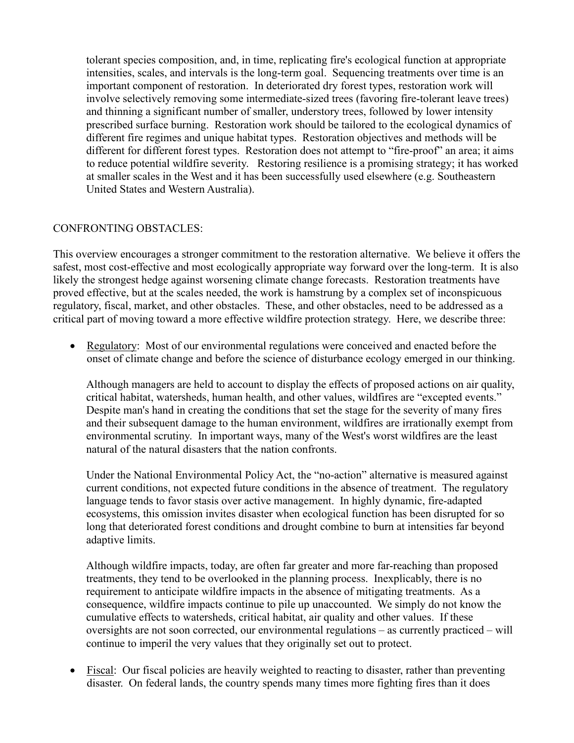tolerant species composition, and, in time, replicating fire's ecological function at appropriate intensities, scales, and intervals is the long-term goal. Sequencing treatments over time is an important component of restoration. In deteriorated dry forest types, restoration work will involve selectively removing some intermediate-sized trees (favoring fire-tolerant leave trees) and thinning a significant number of smaller, understory trees, followed by lower intensity prescribed surface burning. Restoration work should be tailored to the ecological dynamics of different fire regimes and unique habitat types. Restoration objectives and methods will be different for different forest types. Restoration does not attempt to "fire-proof" an area; it aims to reduce potential wildfire severity. Restoring resilience is a promising strategy; it has worked at smaller scales in the West and it has been successfully used elsewhere (e.g. Southeastern United States and Western Australia).

#### CONFRONTING OBSTACLES:

This overview encourages a stronger commitment to the restoration alternative. We believe it offers the safest, most cost-effective and most ecologically appropriate way forward over the long-term. It is also likely the strongest hedge against worsening climate change forecasts. Restoration treatments have proved effective, but at the scales needed, the work is hamstrung by a complex set of inconspicuous regulatory, fiscal, market, and other obstacles. These, and other obstacles, need to be addressed as a critical part of moving toward a more effective wildfire protection strategy. Here, we describe three:

• Regulatory: Most of our environmental regulations were conceived and enacted before the onset of climate change and before the science of disturbance ecology emerged in our thinking.

Although managers are held to account to display the effects of proposed actions on air quality, critical habitat, watersheds, human health, and other values, wildfires are "excepted events." Despite man's hand in creating the conditions that set the stage for the severity of many fires and their subsequent damage to the human environment, wildfires are irrationally exempt from environmental scrutiny. In important ways, many of the West's worst wildfires are the least natural of the natural disasters that the nation confronts.

Under the National Environmental Policy Act, the "no-action" alternative is measured against current conditions, not expected future conditions in the absence of treatment. The regulatory language tends to favor stasis over active management. In highly dynamic, fire-adapted ecosystems, this omission invites disaster when ecological function has been disrupted for so long that deteriorated forest conditions and drought combine to burn at intensities far beyond adaptive limits.

Although wildfire impacts, today, are often far greater and more far-reaching than proposed treatments, they tend to be overlooked in the planning process. Inexplicably, there is no requirement to anticipate wildfire impacts in the absence of mitigating treatments. As a consequence, wildfire impacts continue to pile up unaccounted. We simply do not know the cumulative effects to watersheds, critical habitat, air quality and other values. If these oversights are not soon corrected, our environmental regulations – as currently practiced – will continue to imperil the very values that they originally set out to protect.

• Fiscal: Our fiscal policies are heavily weighted to reacting to disaster, rather than preventing disaster. On federal lands, the country spends many times more fighting fires than it does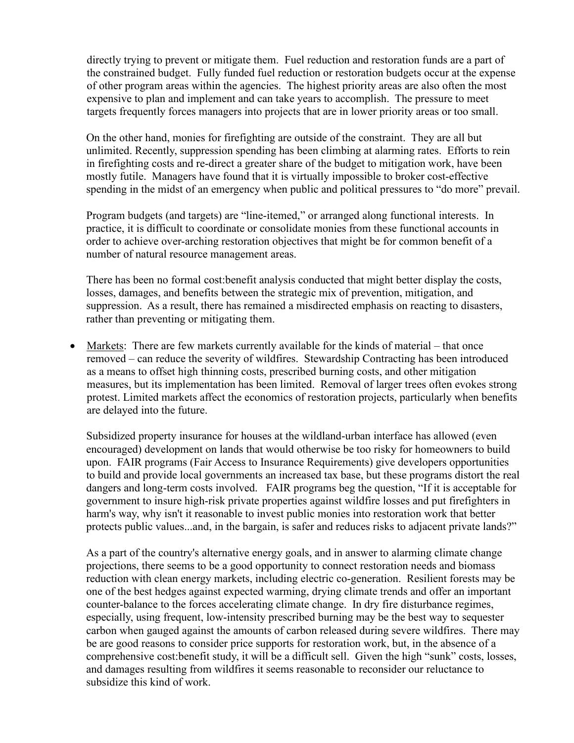directly trying to prevent or mitigate them. Fuel reduction and restoration funds are a part of the constrained budget. Fully funded fuel reduction or restoration budgets occur at the expense of other program areas within the agencies. The highest priority areas are also often the most expensive to plan and implement and can take years to accomplish. The pressure to meet targets frequently forces managers into projects that are in lower priority areas or too small.

On the other hand, monies for firefighting are outside of the constraint. They are all but unlimited. Recently, suppression spending has been climbing at alarming rates. Efforts to rein in firefighting costs and re-direct a greater share of the budget to mitigation work, have been mostly futile. Managers have found that it is virtually impossible to broker cost-effective spending in the midst of an emergency when public and political pressures to "do more" prevail.

Program budgets (and targets) are "line-itemed," or arranged along functional interests. In practice, it is difficult to coordinate or consolidate monies from these functional accounts in order to achieve over-arching restoration objectives that might be for common benefit of a number of natural resource management areas.

There has been no formal cost:benefit analysis conducted that might better display the costs, losses, damages, and benefits between the strategic mix of prevention, mitigation, and suppression. As a result, there has remained a misdirected emphasis on reacting to disasters, rather than preventing or mitigating them.

• Markets: There are few markets currently available for the kinds of material – that once removed – can reduce the severity of wildfires. Stewardship Contracting has been introduced as a means to offset high thinning costs, prescribed burning costs, and other mitigation measures, but its implementation has been limited. Removal of larger trees often evokes strong protest. Limited markets affect the economics of restoration projects, particularly when benefits are delayed into the future.

Subsidized property insurance for houses at the wildland-urban interface has allowed (even encouraged) development on lands that would otherwise be too risky for homeowners to build upon. FAIR programs (Fair Access to Insurance Requirements) give developers opportunities to build and provide local governments an increased tax base, but these programs distort the real dangers and long-term costs involved. FAIR programs beg the question, "If it is acceptable for government to insure high-risk private properties against wildfire losses and put firefighters in harm's way, why isn't it reasonable to invest public monies into restoration work that better protects public values...and, in the bargain, is safer and reduces risks to adjacent private lands?"

As a part of the country's alternative energy goals, and in answer to alarming climate change projections, there seems to be a good opportunity to connect restoration needs and biomass reduction with clean energy markets, including electric co-generation. Resilient forests may be one of the best hedges against expected warming, drying climate trends and offer an important counter-balance to the forces accelerating climate change. In dry fire disturbance regimes, especially, using frequent, low-intensity prescribed burning may be the best way to sequester carbon when gauged against the amounts of carbon released during severe wildfires. There may be are good reasons to consider price supports for restoration work, but, in the absence of a comprehensive cost:benefit study, it will be a difficult sell. Given the high "sunk" costs, losses, and damages resulting from wildfires it seems reasonable to reconsider our reluctance to subsidize this kind of work.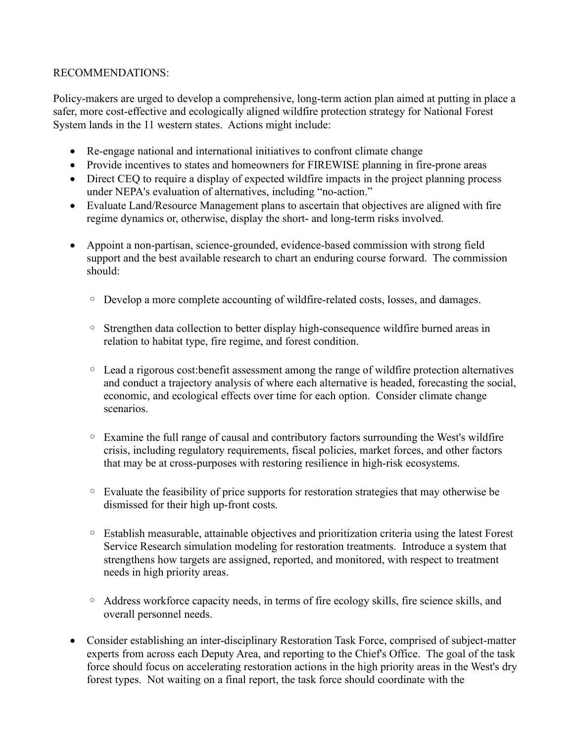# RECOMMENDATIONS:

Policy-makers are urged to develop a comprehensive, long-term action plan aimed at putting in place a safer, more cost-effective and ecologically aligned wildfire protection strategy for National Forest System lands in the 11 western states. Actions might include:

- Re-engage national and international initiatives to confront climate change
- Provide incentives to states and homeowners for FIREWISE planning in fire-prone areas
- Direct CEQ to require a display of expected wildfire impacts in the project planning process under NEPA's evaluation of alternatives, including "no-action."
- Evaluate Land/Resource Management plans to ascertain that objectives are aligned with fire regime dynamics or, otherwise, display the short- and long-term risks involved.
- Appoint a non-partisan, science-grounded, evidence-based commission with strong field support and the best available research to chart an enduring course forward. The commission should:
	- Develop a more complete accounting of wildfire-related costs, losses, and damages.
	- Strengthen data collection to better display high-consequence wildfire burned areas in relation to habitat type, fire regime, and forest condition.
	- Lead a rigorous cost:benefit assessment among the range of wildfire protection alternatives and conduct a trajectory analysis of where each alternative is headed, forecasting the social, economic, and ecological effects over time for each option. Consider climate change scenarios.
	- Examine the full range of causal and contributory factors surrounding the West's wildfire crisis, including regulatory requirements, fiscal policies, market forces, and other factors that may be at cross-purposes with restoring resilience in high-risk ecosystems.
	- Evaluate the feasibility of price supports for restoration strategies that may otherwise be dismissed for their high up-front costs.
	- Establish measurable, attainable objectives and prioritization criteria using the latest Forest Service Research simulation modeling for restoration treatments. Introduce a system that strengthens how targets are assigned, reported, and monitored, with respect to treatment needs in high priority areas.
	- Address workforce capacity needs, in terms of fire ecology skills, fire science skills, and overall personnel needs.
- Consider establishing an inter-disciplinary Restoration Task Force, comprised of subject-matter experts from across each Deputy Area, and reporting to the Chief's Office. The goal of the task force should focus on accelerating restoration actions in the high priority areas in the West's dry forest types. Not waiting on a final report, the task force should coordinate with the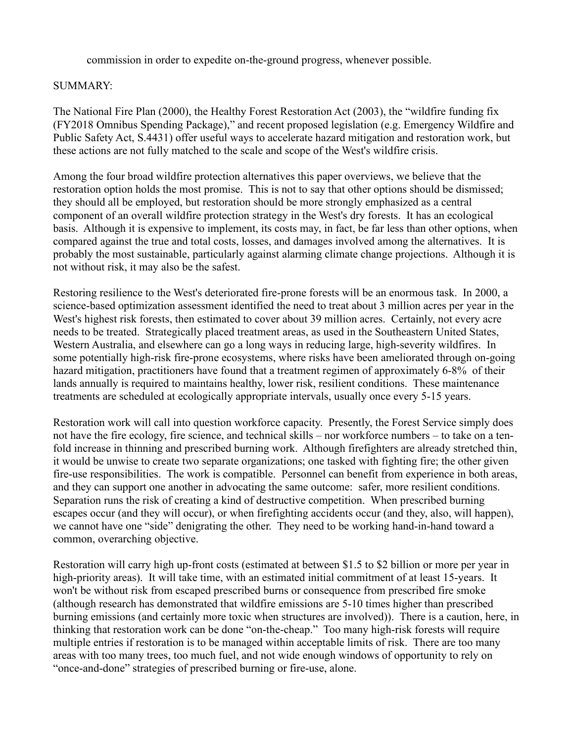commission in order to expedite on-the-ground progress, whenever possible.

## SUMMARY:

The National Fire Plan (2000), the Healthy Forest Restoration Act (2003), the "wildfire funding fix (FY2018 Omnibus Spending Package)," and recent proposed legislation (e.g. Emergency Wildfire and Public Safety Act, S.4431) offer useful ways to accelerate hazard mitigation and restoration work, but these actions are not fully matched to the scale and scope of the West's wildfire crisis.

Among the four broad wildfire protection alternatives this paper overviews, we believe that the restoration option holds the most promise. This is not to say that other options should be dismissed; they should all be employed, but restoration should be more strongly emphasized as a central component of an overall wildfire protection strategy in the West's dry forests. It has an ecological basis. Although it is expensive to implement, its costs may, in fact, be far less than other options, when compared against the true and total costs, losses, and damages involved among the alternatives. It is probably the most sustainable, particularly against alarming climate change projections. Although it is not without risk, it may also be the safest.

Restoring resilience to the West's deteriorated fire-prone forests will be an enormous task. In 2000, a science-based optimization assessment identified the need to treat about 3 million acres per year in the West's highest risk forests, then estimated to cover about 39 million acres. Certainly, not every acre needs to be treated. Strategically placed treatment areas, as used in the Southeastern United States, Western Australia, and elsewhere can go a long ways in reducing large, high-severity wildfires. In some potentially high-risk fire-prone ecosystems, where risks have been ameliorated through on-going hazard mitigation, practitioners have found that a treatment regimen of approximately 6-8% of their lands annually is required to maintains healthy, lower risk, resilient conditions. These maintenance treatments are scheduled at ecologically appropriate intervals, usually once every 5-15 years.

Restoration work will call into question workforce capacity. Presently, the Forest Service simply does not have the fire ecology, fire science, and technical skills – nor workforce numbers – to take on a tenfold increase in thinning and prescribed burning work. Although firefighters are already stretched thin, it would be unwise to create two separate organizations; one tasked with fighting fire; the other given fire-use responsibilities. The work is compatible. Personnel can benefit from experience in both areas, and they can support one another in advocating the same outcome: safer, more resilient conditions. Separation runs the risk of creating a kind of destructive competition. When prescribed burning escapes occur (and they will occur), or when firefighting accidents occur (and they, also, will happen), we cannot have one "side" denigrating the other. They need to be working hand-in-hand toward a common, overarching objective.

Restoration will carry high up-front costs (estimated at between \$1.5 to \$2 billion or more per year in high-priority areas). It will take time, with an estimated initial commitment of at least 15-years. It won't be without risk from escaped prescribed burns or consequence from prescribed fire smoke (although research has demonstrated that wildfire emissions are 5-10 times higher than prescribed burning emissions (and certainly more toxic when structures are involved)). There is a caution, here, in thinking that restoration work can be done "on-the-cheap." Too many high-risk forests will require multiple entries if restoration is to be managed within acceptable limits of risk. There are too many areas with too many trees, too much fuel, and not wide enough windows of opportunity to rely on "once-and-done" strategies of prescribed burning or fire-use, alone.